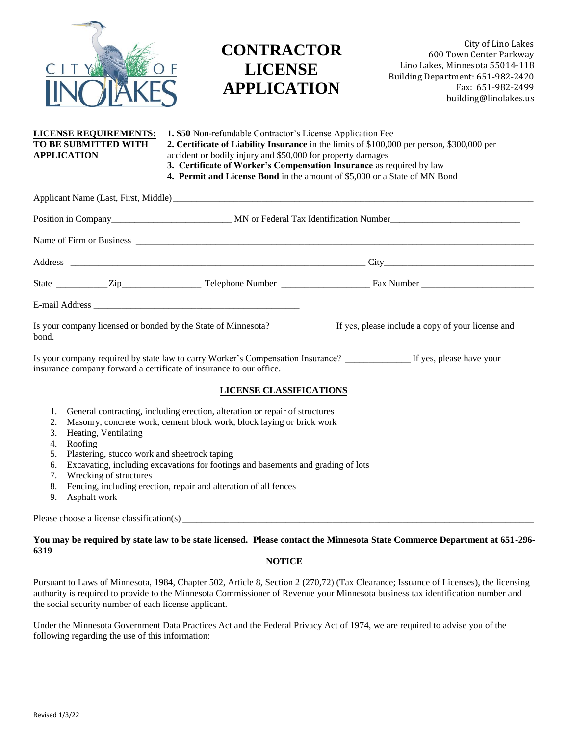

# **CONTRACTOR LICENSE APPLICATION**

City of Lino Lakes 600 Town Center Parkway Lino Lakes, Minnesota 55014-118 Building Department: 651-982-2420 Fax: 651-982-2499 building@linolakes.us

## **LICENSE REQUIREMENTS: 1. \$50** Non-refundable Contractor's License Application Fee **TO BE SUBMITTED WITH 2. Certificate of Liability Insurance** in the limits of \$100,000 per person, \$300,000 per **APPLICATION** accident or bodily injury and \$50,000 for property damages **3. Certificate of Worker's Compensation Insurance** as required by law **4. Permit and License Bond** in the amount of \$5,000 or a State of MN Bond

|                                                                                                                          |                                                                     | City                                                                                                     |
|--------------------------------------------------------------------------------------------------------------------------|---------------------------------------------------------------------|----------------------------------------------------------------------------------------------------------|
|                                                                                                                          |                                                                     |                                                                                                          |
|                                                                                                                          |                                                                     |                                                                                                          |
| Is your company licensed or bonded by the State of Minnesota? If yes, please include a copy of your license and<br>bond. |                                                                     |                                                                                                          |
|                                                                                                                          | insurance company forward a certificate of insurance to our office. | Is your company required by state law to carry Worker's Compensation Insurance? If yes, please have your |

### **LICENSE CLASSIFICATIONS**

- 1. General contracting, including erection, alteration or repair of structures
- 2. Masonry, concrete work, cement block work, block laying or brick work

Applicant Name (Last, First, Middle) \_\_\_\_\_\_\_\_\_\_\_\_\_\_\_\_\_\_\_\_\_\_\_\_\_\_\_\_\_\_\_\_\_\_\_\_\_\_\_\_\_\_\_\_\_\_\_\_\_\_\_\_\_\_\_\_\_\_\_\_\_\_\_\_\_\_\_\_\_\_\_\_\_\_\_\_\_

- 3. Heating, Ventilating
- 4. Roofing
- 5. Plastering, stucco work and sheetrock taping
- 6. Excavating, including excavations for footings and basements and grading of lots
- 7. Wrecking of structures
- 8. Fencing, including erection, repair and alteration of all fences
- 9. Asphalt work

Please choose a license classification(s)

### **You may be required by state law to be state licensed. Please contact the Minnesota State Commerce Department at 651-296- 6319**

### **NOTICE**

Pursuant to Laws of Minnesota, 1984, Chapter 502, Article 8, Section 2 (270,72) (Tax Clearance; Issuance of Licenses), the licensing authority is required to provide to the Minnesota Commissioner of Revenue your Minnesota business tax identification number and the social security number of each license applicant.

Under the Minnesota Government Data Practices Act and the Federal Privacy Act of 1974, we are required to advise you of the following regarding the use of this information: